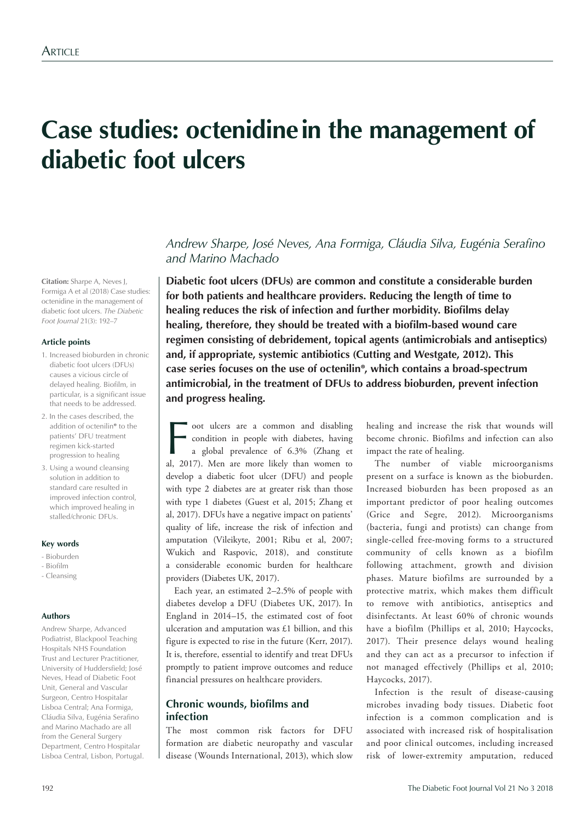# **Case studies: octenidine in the management of diabetic foot ulcers**

**Citation:** Sharpe A, Neves J, Formiga A et al (2018) Case studies: octenidine in the management of diabetic foot ulcers. *The Diabetic Foot Journal* 21(3): 192–7

## **Article points**

- 1. Increased bioburden in chronic diabetic foot ulcers (DFUs) causes a vicious circle of delayed healing. Biofilm, in particular, is a significant issue that needs to be addressed.
- 2. In the cases described, the addition of octenilin**®** to the patients' DFU treatment regimen kick-started progression to healing
- 3. Using a wound cleansing solution in addition to standard care resulted in improved infection control, which improved healing in stalled/chronic DFUs.

### **Key words**

- Bioburden
- Biofilm
- Cleansing

### **Authors**

Andrew Sharpe, Advanced Podiatrist, Blackpool Teaching Hospitals NHS Foundation Trust and Lecturer Practitioner, University of Huddersfield; José Neves, Head of Diabetic Foot Unit, General and Vascular Surgeon, Centro Hospitalar Lisboa Central; Ana Formiga, Cláudia Silva, Eugénia Serafino and Marino Machado are all from the General Surgery Department, Centro Hospitalar Lisboa Central, Lisbon, Portugal.

# *Andrew Sharpe, José Neves, Ana Formiga, Cláudia Silva, Eugénia Serafino and Marino Machado*

**Diabetic foot ulcers (DFUs) are common and constitute a considerable burden for both patients and healthcare providers. Reducing the length of time to healing reduces the risk of infection and further morbidity. Biofilms delay healing, therefore, they should be treated with a biofilm-based wound care regimen consisting of debridement, topical agents (antimicrobials and antiseptics) and, if appropriate, systemic antibiotics (Cutting and Westgate, 2012). This case series focuses on the use of octenilin®, which contains a broad-spectrum antimicrobial, in the treatment of DFUs to address bioburden, prevent infection and progress healing.** 

Foot ulcers are a common and disabling<br>condition in people with diabetes, having<br>a global prevalence of 6.3% (Zhang et<br>al. 2017). Men are more likely than women to condition in people with diabetes, having a global prevalence of 6.3% (Zhang et al, 2017). Men are more likely than women to develop a diabetic foot ulcer (DFU) and people with type 2 diabetes are at greater risk than those with type 1 diabetes (Guest et al, 2015; Zhang et al, 2017). DFUs have a negative impact on patients' quality of life, increase the risk of infection and amputation (Vileikyte, 2001; Ribu et al, 2007; Wukich and Raspovic, 2018), and constitute a considerable economic burden for healthcare providers (Diabetes UK, 2017).

Each year, an estimated 2–2.5% of people with diabetes develop a DFU (Diabetes UK, 2017). In England in 2014–15, the estimated cost of foot ulceration and amputation was £1 billion, and this figure is expected to rise in the future (Kerr, 2017). It is, therefore, essential to identify and treat DFUs promptly to patient improve outcomes and reduce financial pressures on healthcare providers.

## **Chronic wounds, biofilms and infection**

The most common risk factors for DFU formation are diabetic neuropathy and vascular disease (Wounds International, 2013), which slow

healing and increase the risk that wounds will become chronic. Biofilms and infection can also impact the rate of healing.

The number of viable microorganisms present on a surface is known as the bioburden. Increased bioburden has been proposed as an important predictor of poor healing outcomes (Grice and Segre, 2012). Microorganisms (bacteria, fungi and protists) can change from single-celled free-moving forms to a structured community of cells known as a biofilm following attachment, growth and division phases. Mature biofilms are surrounded by a protective matrix, which makes them difficult to remove with antibiotics, antiseptics and disinfectants. At least 60% of chronic wounds have a biofilm (Phillips et al, 2010; Haycocks, 2017). Their presence delays wound healing and they can act as a precursor to infection if not managed effectively (Phillips et al, 2010; Haycocks, 2017).

Infection is the result of disease-causing microbes invading body tissues. Diabetic foot infection is a common complication and is associated with increased risk of hospitalisation and poor clinical outcomes, including increased risk of lower-extremity amputation, reduced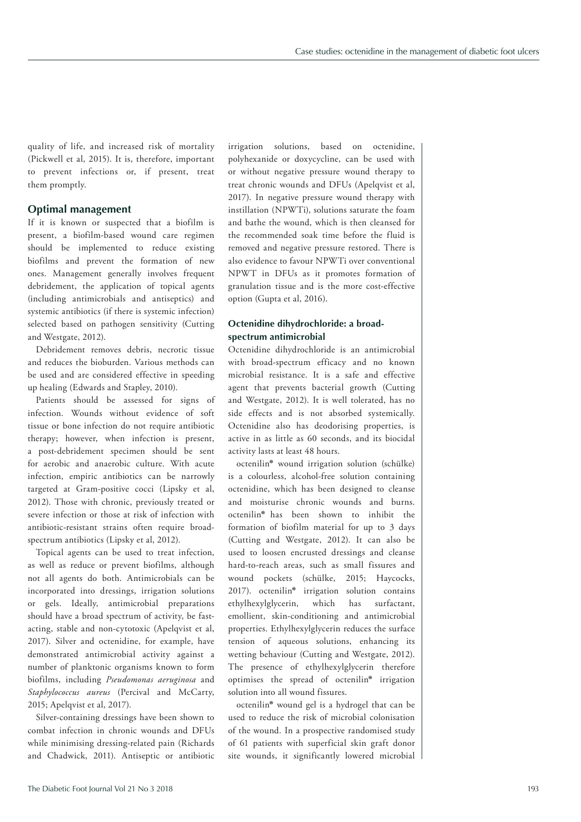quality of life, and increased risk of mortality (Pickwell et al, 2015). It is, therefore, important to prevent infections or, if present, treat them promptly.

## **Optimal management**

If it is known or suspected that a biofilm is present, a biofilm-based wound care regimen should be implemented to reduce existing biofilms and prevent the formation of new ones. Management generally involves frequent debridement, the application of topical agents (including antimicrobials and antiseptics) and systemic antibiotics (if there is systemic infection) selected based on pathogen sensitivity (Cutting and Westgate, 2012).

Debridement removes debris, necrotic tissue and reduces the bioburden. Various methods can be used and are considered effective in speeding up healing (Edwards and Stapley, 2010).

Patients should be assessed for signs of infection. Wounds without evidence of soft tissue or bone infection do not require antibiotic therapy; however, when infection is present, a post-debridement specimen should be sent for aerobic and anaerobic culture. With acute infection, empiric antibiotics can be narrowly targeted at Gram-positive cocci (Lipsky et al, 2012). Those with chronic, previously treated or severe infection or those at risk of infection with antibiotic-resistant strains often require broadspectrum antibiotics (Lipsky et al, 2012).

Topical agents can be used to treat infection, as well as reduce or prevent biofilms, although not all agents do both. Antimicrobials can be incorporated into dressings, irrigation solutions or gels. Ideally, antimicrobial preparations should have a broad spectrum of activity, be fastacting, stable and non-cytotoxic (Apelqvist et al, 2017). Silver and octenidine, for example, have demonstrated antimicrobial activity against a number of planktonic organisms known to form biofilms, including *Pseudomonas aeruginosa* and *Staphylococcus aureus* (Percival and McCarty, 2015; Apelqvist et al, 2017).

Silver-containing dressings have been shown to combat infection in chronic wounds and DFUs while minimising dressing-related pain (Richards and Chadwick, 2011). Antiseptic or antibiotic irrigation solutions, based on octenidine, polyhexanide or doxycycline, can be used with or without negative pressure wound therapy to treat chronic wounds and DFUs (Apelqvist et al, 2017). In negative pressure wound therapy with instillation (NPWTi), solutions saturate the foam and bathe the wound, which is then cleansed for the recommended soak time before the fluid is removed and negative pressure restored. There is also evidence to favour NPWTi over conventional NPWT in DFUs as it promotes formation of granulation tissue and is the more cost-effective option (Gupta et al, 2016).

## **Octenidine dihydrochloride: a broadspectrum antimicrobial**

Octenidine dihydrochloride is an antimicrobial with broad-spectrum efficacy and no known microbial resistance. It is a safe and effective agent that prevents bacterial growth (Cutting and Westgate, 2012). It is well tolerated, has no side effects and is not absorbed systemically. Octenidine also has deodorising properties, is active in as little as 60 seconds, and its biocidal activity lasts at least 48 hours.

octenilin**®** wound irrigation solution (schülke) is a colourless, alcohol-free solution containing octenidine, which has been designed to cleanse and moisturise chronic wounds and burns. octenilin**®** has been shown to inhibit the formation of biofilm material for up to 3 days (Cutting and Westgate, 2012). It can also be used to loosen encrusted dressings and cleanse hard-to-reach areas, such as small fissures and wound pockets (schülke, 2015; Haycocks, 2017). octenilin**®** irrigation solution contains ethylhexylglycerin, which has surfactant, emollient, skin-conditioning and antimicrobial properties. Ethylhexylglycerin reduces the surface tension of aqueous solutions, enhancing its wetting behaviour (Cutting and Westgate, 2012). The presence of ethylhexylglycerin therefore optimises the spread of octenilin**®** irrigation solution into all wound fissures.

octenilin**®** wound gel is a hydrogel that can be used to reduce the risk of microbial colonisation of the wound. In a prospective randomised study of 61 patients with superficial skin graft donor site wounds, it significantly lowered microbial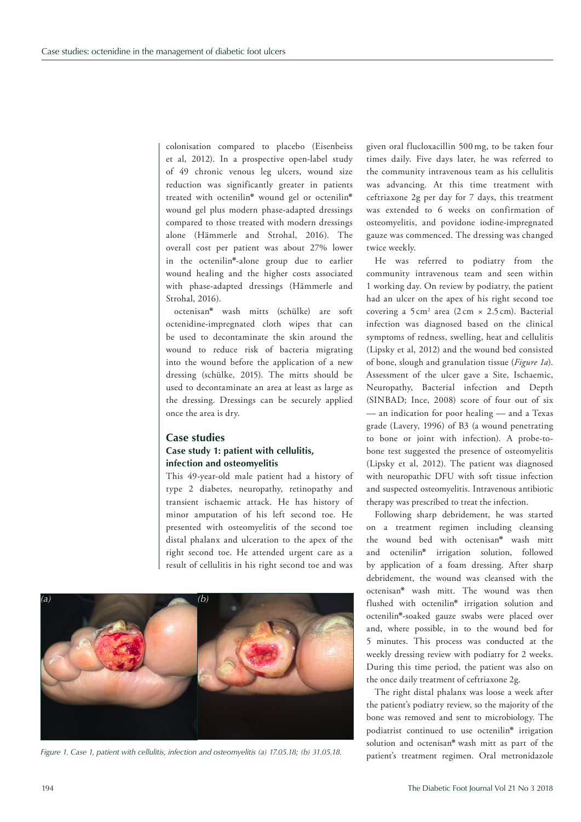colonisation compared to placebo (Eisenbeiss et al, 2012). In a prospective open-label study of 49 chronic venous leg ulcers, wound size reduction was significantly greater in patients treated with octenilin**®** wound gel or octenilin**®** wound gel plus modern phase-adapted dressings compared to those treated with modern dressings alone (Hämmerle and Strohal, 2016). The overall cost per patient was about 27% lower in the octenilin**®**-alone group due to earlier wound healing and the higher costs associated with phase-adapted dressings (Hämmerle and Strohal, 2016).

octenisan**®** wash mitts (schülke) are soft octenidine-impregnated cloth wipes that can be used to decontaminate the skin around the wound to reduce risk of bacteria migrating into the wound before the application of a new dressing (schülke, 2015). The mitts should be used to decontaminate an area at least as large as the dressing. Dressings can be securely applied once the area is dry.

# **Case studies Case study 1: patient with cellulitis, infection and osteomyelitis**

This 49-year-old male patient had a history of type 2 diabetes, neuropathy, retinopathy and transient ischaemic attack. He has history of minor amputation of his left second toe. He presented with osteomyelitis of the second toe distal phalanx and ulceration to the apex of the right second toe. He attended urgent care as a result of cellulitis in his right second toe and was



Figure 1. Case 1, patient with cellulitis, infection and osteomyelitis (a) 17.05.18; (b) 31.05.18. patient's treatment regimen. Oral metronidazole

given oral flucloxacillin 500mg, to be taken four times daily. Five days later, he was referred to the community intravenous team as his cellulitis was advancing. At this time treatment with ceftriaxone 2g per day for 7 days, this treatment was extended to 6 weeks on confirmation of osteomyelitis, and povidone iodine-impregnated gauze was commenced. The dressing was changed twice weekly.

He was referred to podiatry from the community intravenous team and seen within 1 working day. On review by podiatry, the patient had an ulcer on the apex of his right second toe covering a  $5 \text{ cm}^2$  area  $(2 \text{ cm} \times 2.5 \text{ cm})$ . Bacterial infection was diagnosed based on the clinical symptoms of redness, swelling, heat and cellulitis (Lipsky et al, 2012) and the wound bed consisted of bone, slough and granulation tissue (*Figure 1a*). Assessment of the ulcer gave a Site, Ischaemic, Neuropathy, Bacterial infection and Depth (SINBAD; Ince, 2008) score of four out of six — an indication for poor healing — and a Texas grade (Lavery, 1996) of B3 (a wound penetrating to bone or joint with infection). A probe-tobone test suggested the presence of osteomyelitis (Lipsky et al, 2012). The patient was diagnosed with neuropathic DFU with soft tissue infection and suspected osteomyelitis. Intravenous antibiotic therapy was prescribed to treat the infection.

Following sharp debridement, he was started on a treatment regimen including cleansing the wound bed with octenisan**®** wash mitt and octenilin**®** irrigation solution, followed by application of a foam dressing. After sharp debridement, the wound was cleansed with the octenisan**®** wash mitt. The wound was then flushed with octenilin**®** irrigation solution and octenilin**®**-soaked gauze swabs were placed over and, where possible, in to the wound bed for 5 minutes. This process was conducted at the weekly dressing review with podiatry for 2 weeks. During this time period, the patient was also on the once daily treatment of ceftriaxone 2g.

The right distal phalanx was loose a week after the patient's podiatry review, so the majority of the bone was removed and sent to microbiology. The podiatrist continued to use octenilin**®** irrigation solution and octenisan**®** wash mitt as part of the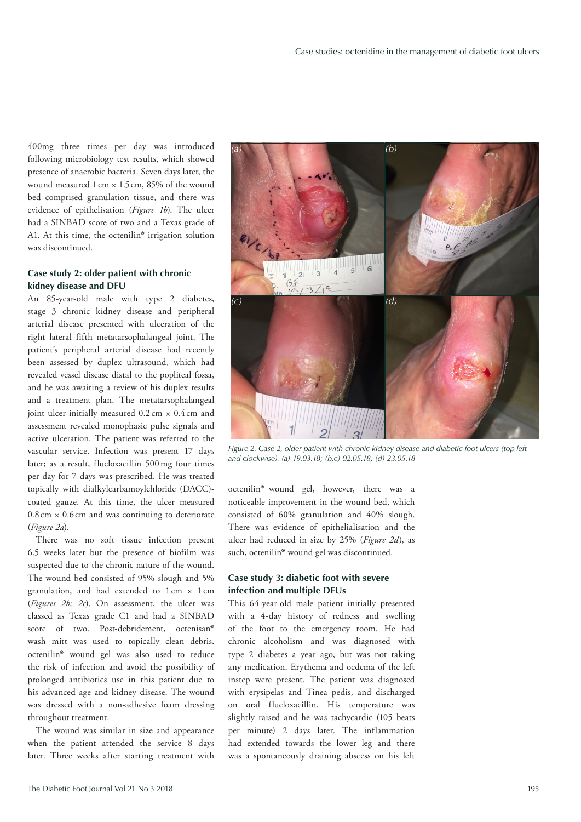400mg three times per day was introduced following microbiology test results, which showed presence of anaerobic bacteria. Seven days later, the wound measured 1cm × 1.5cm, 85% of the wound bed comprised granulation tissue, and there was evidence of epithelisation (*Figure 1b*). The ulcer had a SINBAD score of two and a Texas grade of A1. At this time, the octenilin**®** irrigation solution was discontinued.

# **Case study 2: older patient with chronic kidney disease and DFU**

An 85-year-old male with type 2 diabetes, stage 3 chronic kidney disease and peripheral arterial disease presented with ulceration of the right lateral fifth metatarsophalangeal joint. The patient's peripheral arterial disease had recently been assessed by duplex ultrasound, which had revealed vessel disease distal to the popliteal fossa, and he was awaiting a review of his duplex results and a treatment plan. The metatarsophalangeal joint ulcer initially measured  $0.2 \text{ cm} \times 0.4 \text{ cm}$  and assessment revealed monophasic pulse signals and active ulceration. The patient was referred to the vascular service. Infection was present 17 days later; as a result, flucloxacillin 500mg four times per day for 7 days was prescribed. He was treated topically with dialkylcarbamoylchloride (DACC) coated gauze. At this time, the ulcer measured  $0.8 \text{ cm} \times 0.6 \text{ cm}$  and was continuing to deteriorate (*Figure 2a*).

There was no soft tissue infection present 6.5 weeks later but the presence of biofilm was suspected due to the chronic nature of the wound. The wound bed consisted of 95% slough and 5% granulation, and had extended to  $1 \text{ cm} \times 1 \text{ cm}$ (*Figures 2b; 2c*). On assessment, the ulcer was classed as Texas grade C1 and had a SINBAD score of two. Post-debridement, octenisan**®** wash mitt was used to topically clean debris. octenilin**®** wound gel was also used to reduce the risk of infection and avoid the possibility of prolonged antibiotics use in this patient due to his advanced age and kidney disease. The wound was dressed with a non-adhesive foam dressing throughout treatment.

The wound was similar in size and appearance when the patient attended the service 8 days later. Three weeks after starting treatment with



*Figure 2. Case 2, older patient with chronic kidney disease and diabetic foot ulcers (top left and clockwise). (a) 19.03.18; (b,c) 02.05.18; (d) 23.05.18*

octenilin**®** wound gel, however, there was a noticeable improvement in the wound bed, which consisted of 60% granulation and 40% slough. There was evidence of epithelialisation and the ulcer had reduced in size by 25% (*Figure 2d*), as such, octenilin**®** wound gel was discontinued.

## **Case study 3: diabetic foot with severe infection and multiple DFUs**

This 64-year-old male patient initially presented with a 4-day history of redness and swelling of the foot to the emergency room. He had chronic alcoholism and was diagnosed with type 2 diabetes a year ago, but was not taking any medication. Erythema and oedema of the left instep were present. The patient was diagnosed with erysipelas and Tinea pedis, and discharged on oral flucloxacillin. His temperature was slightly raised and he was tachycardic (105 beats per minute) 2 days later. The inflammation had extended towards the lower leg and there was a spontaneously draining abscess on his left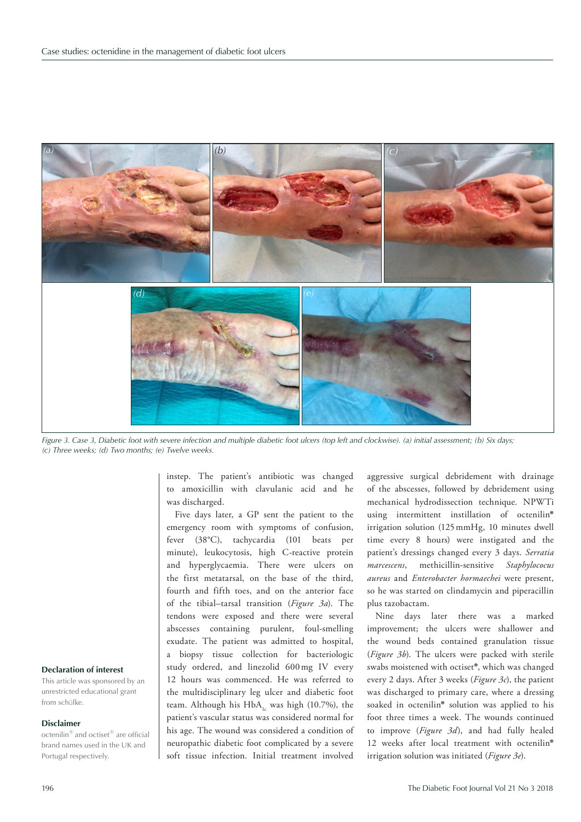

*Figure 3. Case 3, Diabetic foot with severe infection and multiple diabetic foot ulcers (top left and clockwise). (a) initial assessment; (b) Six days; (c) Three weeks; (d) Two months; (e) Twelve weeks.*

instep. The patient's antibiotic was changed to amoxicillin with clavulanic acid and he was discharged.

Five days later, a GP sent the patient to the emergency room with symptoms of confusion, fever (38°C), tachycardia (101 beats per minute), leukocytosis, high C-reactive protein and hyperglycaemia. There were ulcers on the first metatarsal, on the base of the third, fourth and fifth toes, and on the anterior face of the tibial–tarsal transition (*Figure 3a*). The tendons were exposed and there were several abscesses containing purulent, foul-smelling exudate. The patient was admitted to hospital, a biopsy tissue collection for bacteriologic study ordered, and linezolid 600mg IV every 12 hours was commenced. He was referred to the multidisciplinary leg ulcer and diabetic foot team. Although his  $HbA_1$  was high (10.7%), the patient's vascular status was considered normal for his age. The wound was considered a condition of neuropathic diabetic foot complicated by a severe soft tissue infection. Initial treatment involved

aggressive surgical debridement with drainage of the abscesses, followed by debridement using mechanical hydrodissection technique. NPWTi using intermittent instillation of octenilin**®** irrigation solution (125mmHg, 10 minutes dwell time every 8 hours) were instigated and the patient's dressings changed every 3 days. *Serratia marcescens*, methicillin-sensitive *Staphylococus aureus* and *Enterobacter hormaechei* were present, so he was started on clindamycin and piperacillin plus tazobactam.

Nine days later there was a marked improvement; the ulcers were shallower and the wound beds contained granulation tissue (*Figure 3b*). The ulcers were packed with sterile swabs moistened with octiset**®**, which was changed every 2 days. After 3 weeks (*Figure 3c*), the patient was discharged to primary care, where a dressing soaked in octenilin**®** solution was applied to his foot three times a week. The wounds continued to improve (*Figure 3d*), and had fully healed 12 weeks after local treatment with octenilin**®**  irrigation solution was initiated (*Figure 3e*).

## **Declaration of interest**

This article was sponsored by an unrestricted educational grant from schülke.

#### **Disclaimer**

octenilin‰ and octiset‰ are official brand names used in the UK and Portugal respectively.